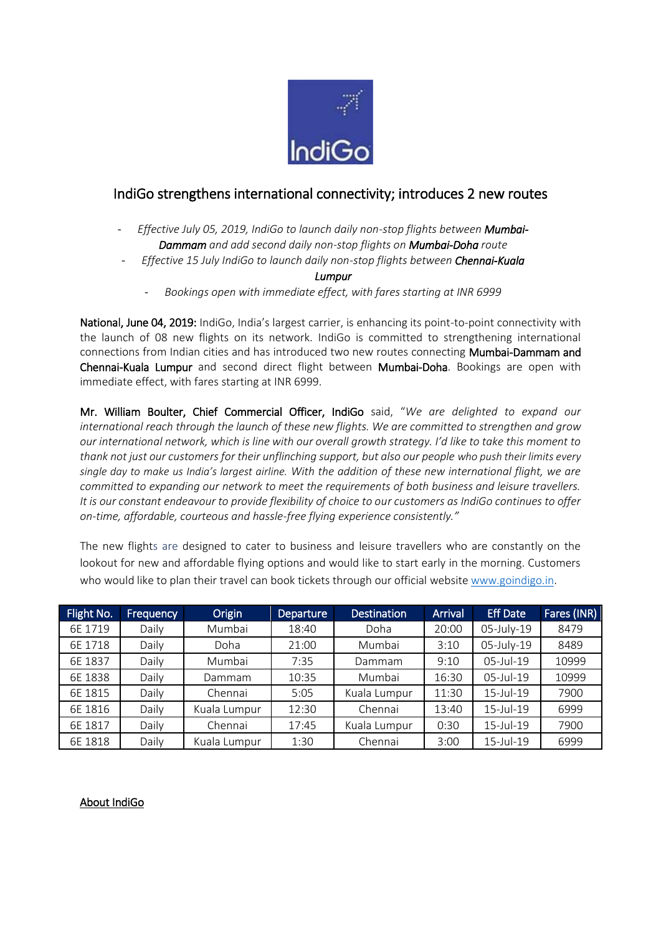

## IndiGo strengthens international connectivity; introduces 2 new routes

- Effective July 05, 2019, IndiGo to launch daily non-stop flights between Mumbai-*Dammam and add second daily non-stop flights on Mumbai-Doha route*
- *Effective 15 July IndiGo to launch daily non-stop flights between Chennai-Kuala*

## *Lumpur*

- *Bookings open with immediate effect, with fares starting at INR 6999*

National, June 04, 2019: IndiGo, India's largest carrier, is enhancing its point-to-point connectivity with the launch of 08 new flights on its network. IndiGo is committed to strengthening international connections from Indian cities and has introduced two new routes connecting Mumbai-Dammam and Chennai-Kuala Lumpur and second direct flight between Mumbai-Doha. Bookings are open with immediate effect, with fares starting at INR 6999.

Mr. William Boulter, Chief Commercial Officer, IndiGo said, "*We are delighted to expand our international reach through the launch of these new flights. We are committed to strengthen and grow our international network, which is line with our overall growth strategy. I'd like to take this moment to thank not just our customers for their unflinching support, but also our people who push their limits every single day to make us India's largest airline. With the addition of these new international flight, we are committed to expanding our network to meet the requirements of both business and leisure travellers. It is our constant endeavour to provide flexibility of choice to our customers as IndiGo continues to offer on-time, affordable, courteous and hassle-free flying experience consistently."*

The new flights are designed to cater to business and leisure travellers who are constantly on the lookout for new and affordable flying options and would like to start early in the morning. Customers who would like to plan their travel can book tickets through our official website [www.goindigo.in.](https://urldefense.proofpoint.com/v2/url?u=http-3A__www.goindigo.in&d=DwMFAg&c=qwStF0e4-YFyvjCeML3ehA&r=E_mRN3LEZs0TSTc2pXhL98u6v2Ia7detGYEmBULPZx0&m=OeafImKDCWd4m9w4afLJXv0mG7r0mTDDJc-b0us5M7Q&s=2sju-oe4nKfVzUpQQg4ZIr1U-zd-GALCvQecemEHIa4&e=)

| Flight No. | <b>Frequency</b> | Origin       | <b>Departure</b> | <b>Destination</b> | <b>Arrival</b> | <b>Eff Date</b> | Fares (INR) |
|------------|------------------|--------------|------------------|--------------------|----------------|-----------------|-------------|
| 6E 1719    | Daily            | Mumbai       | 18:40            | Doha               | 20:00          | 05-July-19      | 8479        |
| 6E 1718    | Daily            | Doha         | 21:00            | Mumbai             | 3:10           | 05-July-19      | 8489        |
| 6E 1837    | Daily            | Mumbai       | 7:35             | Dammam             | 9:10           | 05-Jul-19       | 10999       |
| 6E 1838    | Daily            | Dammam       | 10:35            | Mumbai             | 16:30          | 05-Jul-19       | 10999       |
| 6E 1815    | Daily            | Chennai      | 5:05             | Kuala Lumpur       | 11:30          | 15-Jul-19       | 7900        |
| 6E 1816    | Daily            | Kuala Lumpur | 12:30            | Chennai            | 13:40          | 15-Jul-19       | 6999        |
| 6E 1817    | Daily            | Chennai      | 17:45            | Kuala Lumpur       | 0:30           | 15-Jul-19       | 7900        |
| 6E 1818    | Daily            | Kuala Lumpur | 1:30             | Chennai            | 3:00           | 15-Jul-19       | 6999        |

## About IndiGo